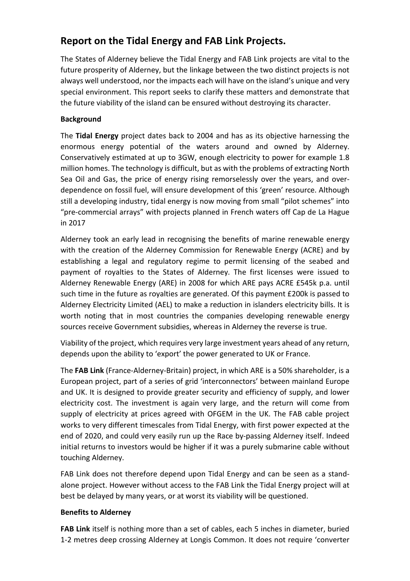# **Report on the Tidal Energy and FAB Link Projects.**

The States of Alderney believe the Tidal Energy and FAB Link projects are vital to the future prosperity of Alderney, but the linkage between the two distinct projects is not always well understood, nor the impacts each will have on the island's unique and very special environment. This report seeks to clarify these matters and demonstrate that the future viability of the island can be ensured without destroying its character.

## **Background**

The **Tidal Energy** project dates back to 2004 and has as its objective harnessing the enormous energy potential of the waters around and owned by Alderney. Conservatively estimated at up to 3GW, enough electricity to power for example 1.8 million homes. The technology is difficult, but as with the problems of extracting North Sea Oil and Gas, the price of energy rising remorselessly over the years, and overdependence on fossil fuel, will ensure development of this 'green' resource. Although still a developing industry, tidal energy is now moving from small "pilot schemes" into "pre-commercial arrays" with projects planned in French waters off Cap de La Hague in 2017

Alderney took an early lead in recognising the benefits of marine renewable energy with the creation of the Alderney Commission for Renewable Energy (ACRE) and by establishing a legal and regulatory regime to permit licensing of the seabed and payment of royalties to the States of Alderney. The first licenses were issued to Alderney Renewable Energy (ARE) in 2008 for which ARE pays ACRE £545k p.a. until such time in the future as royalties are generated. Of this payment £200k is passed to Alderney Electricity Limited (AEL) to make a reduction in islanders electricity bills. It is worth noting that in most countries the companies developing renewable energy sources receive Government subsidies, whereas in Alderney the reverse is true.

Viability of the project, which requires very large investment years ahead of any return, depends upon the ability to 'export' the power generated to UK or France.

The **FAB Link** (France-Alderney-Britain) project, in which ARE is a 50% shareholder, is a European project, part of a series of grid 'interconnectors' between mainland Europe and UK. It is designed to provide greater security and efficiency of supply, and lower electricity cost. The investment is again very large, and the return will come from supply of electricity at prices agreed with OFGEM in the UK. The FAB cable project works to very different timescales from Tidal Energy, with first power expected at the end of 2020, and could very easily run up the Race by-passing Alderney itself. Indeed initial returns to investors would be higher if it was a purely submarine cable without touching Alderney.

FAB Link does not therefore depend upon Tidal Energy and can be seen as a standalone project. However without access to the FAB Link the Tidal Energy project will at best be delayed by many years, or at worst its viability will be questioned.

## **Benefits to Alderney**

**FAB Link** itself is nothing more than a set of cables, each 5 inches in diameter, buried 1-2 metres deep crossing Alderney at Longis Common. It does not require 'converter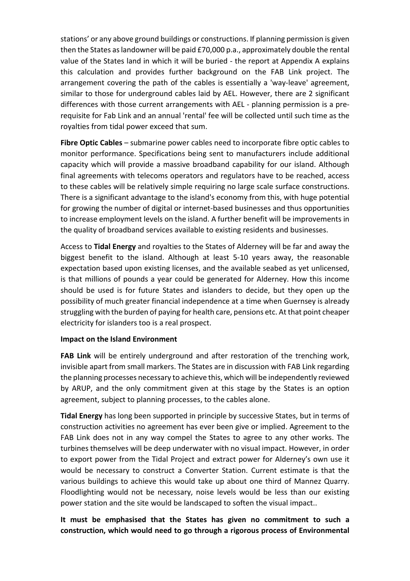stations' or any above ground buildings or constructions. If planning permission is given then the States aslandowner will be paid £70,000 p.a., approximately double the rental value of the States land in which it will be buried - the report at Appendix A explains this calculation and provides further background on the FAB Link project. The arrangement covering the path of the cables is essentially a 'way-leave' agreement, similar to those for underground cables laid by AEL. However, there are 2 significant differences with those current arrangements with AEL - planning permission is a prerequisite for Fab Link and an annual 'rental' fee will be collected until such time as the royalties from tidal power exceed that sum.

**Fibre Optic Cables** – submarine power cables need to incorporate fibre optic cables to monitor performance. Specifications being sent to manufacturers include additional capacity which will provide a massive broadband capability for our island. Although final agreements with telecoms operators and regulators have to be reached, access to these cables will be relatively simple requiring no large scale surface constructions. There is a significant advantage to the island's economy from this, with huge potential for growing the number of digital or internet-based businesses and thus opportunities to increase employment levels on the island. A further benefit will be improvements in the quality of broadband services available to existing residents and businesses.

Access to **Tidal Energy** and royalties to the States of Alderney will be far and away the biggest benefit to the island. Although at least 5-10 years away, the reasonable expectation based upon existing licenses, and the available seabed as yet unlicensed, is that millions of pounds a year could be generated for Alderney. How this income should be used is for future States and islanders to decide, but they open up the possibility of much greater financial independence at a time when Guernsey is already struggling with the burden of paying for health care, pensions etc. At that point cheaper electricity for islanders too is a real prospect.

## **Impact on the Island Environment**

**FAB Link** will be entirely underground and after restoration of the trenching work, invisible apart from small markers. The States are in discussion with FAB Link regarding the planning processes necessary to achieve this, which will be independently reviewed by ARUP, and the only commitment given at this stage by the States is an option agreement, subject to planning processes, to the cables alone.

**Tidal Energy** has long been supported in principle by successive States, but in terms of construction activities no agreement has ever been give or implied. Agreement to the FAB Link does not in any way compel the States to agree to any other works. The turbines themselves will be deep underwater with no visual impact. However, in order to export power from the Tidal Project and extract power for Alderney's own use it would be necessary to construct a Converter Station. Current estimate is that the various buildings to achieve this would take up about one third of Mannez Quarry. Floodlighting would not be necessary, noise levels would be less than our existing power station and the site would be landscaped to soften the visual impact..

## **It must be emphasised that the States has given no commitment to such a construction, which would need to go through a rigorous process of Environmental**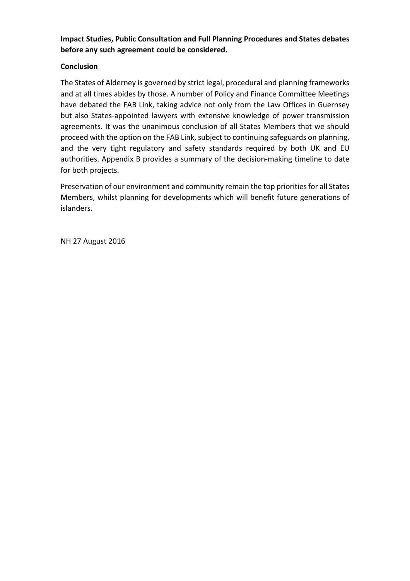## **Impact Studies, Public Consultation and Full Planning Procedures and States debates before any such agreement could be considered.**

## **Conclusion**

The States of Alderney is governed by strict legal, procedural and planning frameworks and at all times abides by those. A number of Policy and Finance Committee Meetings have debated the FAB Link, taking advice not only from the Law Offices in Guernsey but also States-appointed lawyers with extensive knowledge of power transmission agreements. It was the unanimous conclusion of all States Members that we should proceed with the option on the FAB Link, subject to continuing safeguards on planning, and the very tight regulatory and safety standards required by both UK and EU authorities. Appendix B provides a summary of the decision-making timeline to date for both projects.

Preservation of our environment and community remain the top priorities for all States Members, whilst planning for developments which will benefit future generations of islanders.

NH 27 August 2016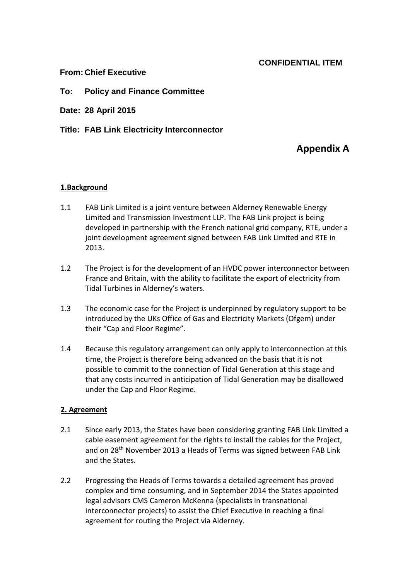## **CONFIDENTIAL ITEM**

## **From: Chief Executive**

## **To: Policy and Finance Committee**

**Date: 28 April 2015**

**Title: FAB Link Electricity Interconnector**

## **Appendix A**

## **1.Background**

- 1.1 FAB Link Limited is a joint venture between Alderney Renewable Energy Limited and Transmission Investment LLP. The FAB Link project is being developed in partnership with the French national grid company, RTE, under a joint development agreement signed between FAB Link Limited and RTE in 2013.
- 1.2 The Project is for the development of an HVDC power interconnector between France and Britain, with the ability to facilitate the export of electricity from Tidal Turbines in Alderney's waters.
- 1.3 The economic case for the Project is underpinned by regulatory support to be introduced by the UKs Office of Gas and Electricity Markets (Ofgem) under their "Cap and Floor Regime".
- 1.4 Because this regulatory arrangement can only apply to interconnection at this time, the Project is therefore being advanced on the basis that it is not possible to commit to the connection of Tidal Generation at this stage and that any costs incurred in anticipation of Tidal Generation may be disallowed under the Cap and Floor Regime.

## **2. Agreement**

- 2.1 Since early 2013, the States have been considering granting FAB Link Limited a cable easement agreement for the rights to install the cables for the Project, and on 28th November 2013 a Heads of Terms was signed between FAB Link and the States.
- 2.2 Progressing the Heads of Terms towards a detailed agreement has proved complex and time consuming, and in September 2014 the States appointed legal advisors CMS Cameron McKenna (specialists in transnational interconnector projects) to assist the Chief Executive in reaching a final agreement for routing the Project via Alderney.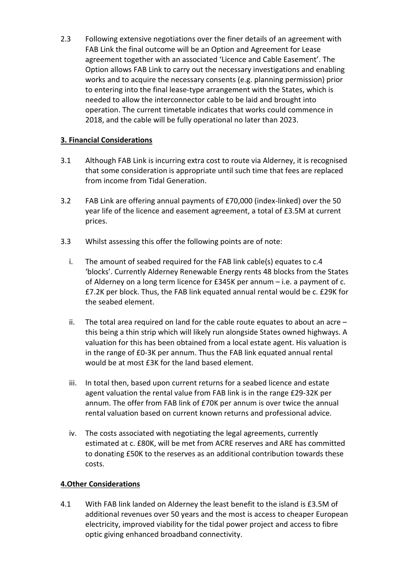2.3 Following extensive negotiations over the finer details of an agreement with FAB Link the final outcome will be an Option and Agreement for Lease agreement together with an associated 'Licence and Cable Easement'. The Option allows FAB Link to carry out the necessary investigations and enabling works and to acquire the necessary consents (e.g. planning permission) prior to entering into the final lease-type arrangement with the States, which is needed to allow the interconnector cable to be laid and brought into operation. The current timetable indicates that works could commence in 2018, and the cable will be fully operational no later than 2023.

## **3. Financial Considerations**

- 3.1 Although FAB Link is incurring extra cost to route via Alderney, it is recognised that some consideration is appropriate until such time that fees are replaced from income from Tidal Generation.
- 3.2 FAB Link are offering annual payments of £70,000 (index-linked) over the 50 year life of the licence and easement agreement, a total of £3.5M at current prices.
- 3.3 Whilst assessing this offer the following points are of note:
	- i. The amount of seabed required for the FAB link cable(s) equates to c.4 'blocks'. Currently Alderney Renewable Energy rents 48 blocks from the States of Alderney on a long term licence for £345K per annum – i.e. a payment of c. £7.2K per block. Thus, the FAB link equated annual rental would be c. £29K for the seabed element.
	- ii. The total area required on land for the cable route equates to about an acre  $$ this being a thin strip which will likely run alongside States owned highways. A valuation for this has been obtained from a local estate agent. His valuation is in the range of £0-3K per annum. Thus the FAB link equated annual rental would be at most £3K for the land based element.
	- iii. In total then, based upon current returns for a seabed licence and estate agent valuation the rental value from FAB link is in the range £29-32K per annum. The offer from FAB link of £70K per annum is over twice the annual rental valuation based on current known returns and professional advice.
	- iv. The costs associated with negotiating the legal agreements, currently estimated at c. £80K, will be met from ACRE reserves and ARE has committed to donating £50K to the reserves as an additional contribution towards these costs.

## **4.Other Considerations**

4.1 With FAB link landed on Alderney the least benefit to the island is £3.5M of additional revenues over 50 years and the most is access to cheaper European electricity, improved viability for the tidal power project and access to fibre optic giving enhanced broadband connectivity.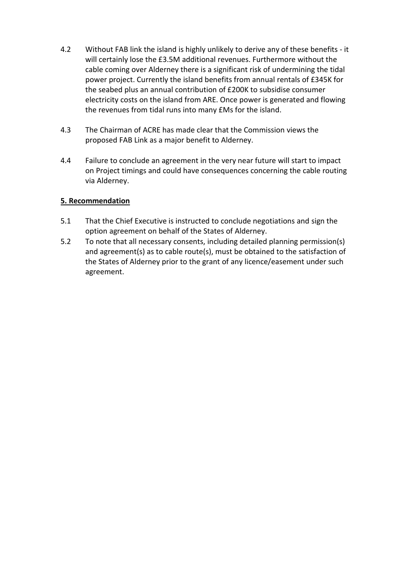- 4.2 Without FAB link the island is highly unlikely to derive any of these benefits it will certainly lose the £3.5M additional revenues. Furthermore without the cable coming over Alderney there is a significant risk of undermining the tidal power project. Currently the island benefits from annual rentals of £345K for the seabed plus an annual contribution of £200K to subsidise consumer electricity costs on the island from ARE. Once power is generated and flowing the revenues from tidal runs into many £Ms for the island.
- 4.3 The Chairman of ACRE has made clear that the Commission views the proposed FAB Link as a major benefit to Alderney.
- 4.4 Failure to conclude an agreement in the very near future will start to impact on Project timings and could have consequences concerning the cable routing via Alderney.

## **5. Recommendation**

- 5.1 That the Chief Executive is instructed to conclude negotiations and sign the option agreement on behalf of the States of Alderney.
- 5.2 To note that all necessary consents, including detailed planning permission(s) and agreement(s) as to cable route(s), must be obtained to the satisfaction of the States of Alderney prior to the grant of any licence/easement under such agreement.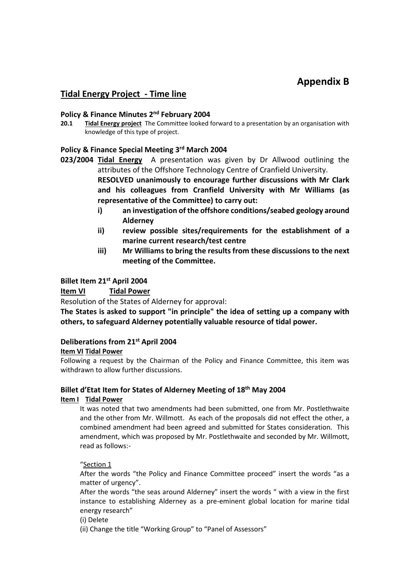# **Appendix B**

## **Tidal Energy Project - Time line**

## **Policy & Finance Minutes 2 nd February 2004**

**20.1 Tidal Energy project** The Committee looked forward to a presentation by an organisation with knowledge of this type of project.

## **Policy & Finance Special Meeting 3 rd March 2004**

**023/2004 Tidal Energy** A presentation was given by Dr Allwood outlining the attributes of the Offshore Technology Centre of Cranfield University. **RESOLVED unanimously to encourage further discussions with Mr Clark**

**and his colleagues from Cranfield University with Mr Williams (as representative of the Committee) to carry out:**

- **i) an investigation of the offshore conditions/seabed geology around Alderney**
- **ii) review possible sites/requirements for the establishment of a marine current research/test centre**
- **iii) Mr Williams to bring the results from these discussions to the next meeting of the Committee.**

## **Billet Item 21st April 2004**

## **Item VI Tidal Power**

Resolution of the States of Alderney for approval:

**The States is asked to support "in principle" the idea of setting up a company with others, to safeguard Alderney potentially valuable resource of tidal power.**

## **Deliberations from 21st April 2004**

## **Item VI Tidal Power**

Following a request by the Chairman of the Policy and Finance Committee, this item was withdrawn to allow further discussions.

# **Billet d'Etat Item for States of Alderney Meeting of 18th May 2004**

## **Item I Tidal Power**

It was noted that two amendments had been submitted, one from Mr. Postlethwaite and the other from Mr. Willmott. As each of the proposals did not effect the other, a combined amendment had been agreed and submitted for States consideration. This amendment, which was proposed by Mr. Postlethwaite and seconded by Mr. Willmott, read as follows:-

## "Section 1

After the words "the Policy and Finance Committee proceed" insert the words "as a matter of urgency".

After the words "the seas around Alderney" insert the words " with a view in the first instance to establishing Alderney as a pre-eminent global location for marine tidal energy research"

(i) Delete

(ii) Change the title "Working Group" to "Panel of Assessors"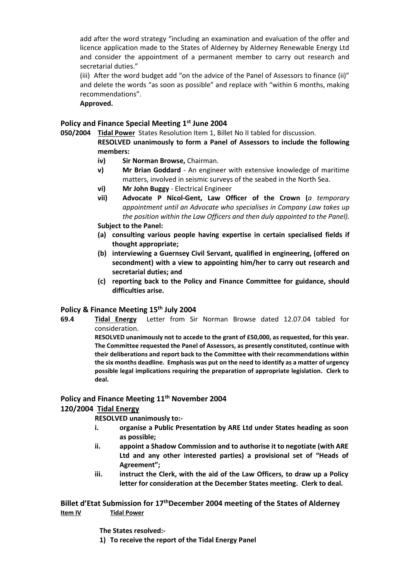add after the word strategy "including an examination and evaluation of the offer and licence application made to the States of Alderney by Alderney Renewable Energy Ltd and consider the appointment of a permanent member to carry out research and secretarial duties."

(iii) After the word budget add "on the advice of the Panel of Assessors to finance (ii)" and delete the words "as soon as possible" and replace with "within 6 months, making recommendations".

#### **Approved.**

## **Policy and Finance Special Meeting 1 st June 2004**

**050/2004 Tidal Power** States Resolution Item 1, Billet No II tabled for discussion.

**RESOLVED unanimously to form a Panel of Assessors to include the following members:**

- **iv) Sir Norman Browse,** Chairman.
- **v) Mr Brian Goddard** An engineer with extensive knowledge of maritime matters, involved in seismic surveys of the seabed in the North Sea.
- **vi) Mr John Buggy** Electrical Engineer
- **vii) Advocate P Nicol-Gent, Law Officer of the Crown (***a temporary appointment until an Advocate who specialises in Company Law takes up the position within the Law Officers and then duly appointed to the Panel).* **Subject to the Panel:**

- **(a) consulting various people having expertise in certain specialised fields if thought appropriate;**
- **(b) interviewing a Guernsey Civil Servant, qualified in engineering, (offered on secondment) with a view to appointing him/her to carry out research and secretarial duties; and**
- **(c) reporting back to the Policy and Finance Committee for guidance, should difficulties arise.**

## **Policy & Finance Meeting 15th July 2004**

**69.4 Tidal Energy** Letter from Sir Norman Browse dated 12.07.04 tabled for consideration.

> **RESOLVED unanimously not to accede to the grant of £50,000, as requested, for this year. The Committee requested the Panel of Assessors, as presently constituted, continue with their deliberations and report back to the Committee with their recommendations within the six months deadline. Emphasis was put on the need to identify as a matter of urgency possible legal implications requiring the preparation of appropriate legislation. Clerk to deal.**

## **Policy and Finance Meeting 11th November 2004**

## **120/2004 Tidal Energy**

**RESOLVED unanimously to:-**

- **i. organise a Public Presentation by ARE Ltd under States heading as soon as possible;**
- **ii. appoint a Shadow Commission and to authorise it to negotiate (with ARE Ltd and any other interested parties) a provisional set of "Heads of Agreement";**
- **iii. instruct the Clerk, with the aid of the Law Officers, to draw up a Policy letter for consideration at the December States meeting. Clerk to deal.**

#### **Billet d'Etat Submission for 17thDecember 2004 meeting of the States of Alderney Item IV Tidal Power**

**The States resolved:-**

**1) To receive the report of the Tidal Energy Panel**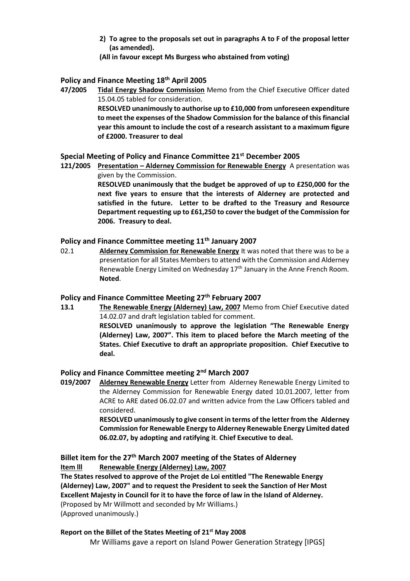- **2) To agree to the proposals set out in paragraphs A to F of the proposal letter (as amended).**
- **(All in favour except Ms Burgess who abstained from voting)**

## **Policy and Finance Meeting 18th April 2005**

**47/2005 Tidal Energy Shadow Commission** Memo from the Chief Executive Officer dated 15.04.05 tabled for consideration.

**RESOLVED unanimously to authorise up to £10,000 from unforeseen expenditure to meet the expenses of the Shadow Commission for the balance of this financial year this amount to include the cost of a research assistant to a maximum figure of £2000. Treasurer to deal**

#### **Special Meeting of Policy and Finance Committee 21st December 2005**

**121/2005 Presentation – Alderney Commission for Renewable Energy** A presentation was given by the Commission.

**RESOLVED unanimously that the budget be approved of up to £250,000 for the next five years to ensure that the interests of Alderney are protected and satisfied in the future. Letter to be drafted to the Treasury and Resource Department requesting up to £61,250 to cover the budget of the Commission for 2006. Treasury to deal.**

## **Policy and Finance Committee meeting 11th January 2007**

02.1 **Alderney Commission for Renewable Energy** It was noted that there was to be a presentation for all States Members to attend with the Commission and Alderney Renewable Energy Limited on Wednesday 17<sup>th</sup> January in the Anne French Room. **Noted**.

#### **Policy and Finance Committee Meeting 27th February 2007**

**13.1 The Renewable Energy (Alderney) Law, 2007** Memo from Chief Executive dated 14.02.07 and draft legislation tabled for comment. **RESOLVED unanimously to approve the legislation "The Renewable Energy (Alderney) Law, 2007". This item to placed before the March meeting of the States. Chief Executive to draft an appropriate proposition. Chief Executive to deal.**

## **Policy and Finance Committee meeting 2 nd March 2007**

**019/2007 Alderney Renewable Energy** Letter from Alderney Renewable Energy Limited to the Alderney Commission for Renewable Energy dated 10.01.2007, letter from ACRE to ARE dated 06.02.07 and written advice from the Law Officers tabled and considered.

> **RESOLVED unanimously to give consent in terms of the letter from the Alderney Commission for Renewable Energy to Alderney Renewable Energy Limited dated 06.02.07, by adopting and ratifying it**. **Chief Executive to deal.**

#### **Billet item for the 27th March 2007 meeting of the States of Alderney Item lll Renewable Energy (Alderney) Law, 2007**

**The States resolved to approve of the Projet de Loi entitled "The Renewable Energy (Alderney) Law, 2007" and to request the President to seek the Sanction of Her Most Excellent Majesty in Council for it to have the force of law in the Island of Alderney.**  (Proposed by Mr Willmott and seconded by Mr Williams.) (Approved unanimously.)

# **Report on the Billet of the States Meeting of 21st May 2008**

Mr Williams gave a report on Island Power Generation Strategy [IPGS]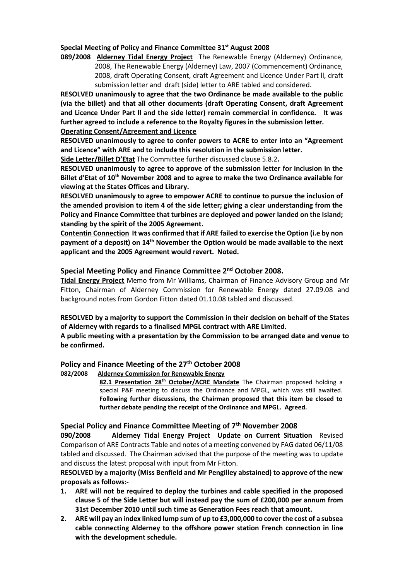## **Special Meeting of Policy and Finance Committee 31st August 2008**

**089/2008 Alderney Tidal Energy Project** The Renewable Energy (Alderney) Ordinance, 2008, The Renewable Energy (Alderney) Law, 2007 (Commencement) Ordinance, 2008, draft Operating Consent, draft Agreement and Licence Under Part ll, draft submission letter and draft (side) letter to ARE tabled and considered.

**RESOLVED unanimously to agree that the two Ordinance be made available to the public (via the billet) and that all other documents (draft Operating Consent, draft Agreement and Licence Under Part ll and the side letter) remain commercial in confidence. It was further agreed to include a reference to the Royalty figures in the submission letter. Operating Consent/Agreement and Licence** 

**RESOLVED unanimously to agree to confer powers to ACRE to enter into an "Agreement and Licence" with ARE and to include this resolution in the submission letter.**

**Side Letter/Billet D'Etat** The Committee further discussed clause 5.8.2**.** 

**RESOLVED unanimously to agree to approve of the submission letter for inclusion in the Billet d'Etat of 10th November 2008 and to agree to make the two Ordinance available for viewing at the States Offices and Library.**

**RESOLVED unanimously to agree to empower ACRE to continue to pursue the inclusion of the amended provision to item 4 of the side letter; giving a clear understanding from the Policy and Finance Committee that turbines are deployed and power landed on the Island; standing by the spirit of the 2005 Agreement.** 

**Contentin Connection It was confirmed that if ARE failed to exercise the Option (i.e by non payment of a deposit) on 14th November the Option would be made available to the next applicant and the 2005 Agreement would revert. Noted.**

#### **Special Meeting Policy and Finance Committee 2nd October 2008.**

**Tidal Energy Project** Memo from Mr Williams, Chairman of Finance Advisory Group and Mr Fitton, Chairman of Alderney Commission for Renewable Energy dated 27.09.08 and background notes from Gordon Fitton dated 01.10.08 tabled and discussed.

#### **RESOLVED by a majority to support the Commission in their decision on behalf of the States of Alderney with regards to a finalised MPGL contract with ARE Limited.**

**A public meeting with a presentation by the Commission to be arranged date and venue to be confirmed.**

#### **Policy and Finance Meeting of the 27th October 2008**

#### **082/2008 Alderney Commission for Renewable Energy**

**82.1 Presentation 28th October/ACRE Mandate** The Chairman proposed holding a special P&F meeting to discuss the Ordinance and MPGL, which was still awaited. **Following further discussions, the Chairman proposed that this item be closed to further debate pending the receipt of the Ordinance and MPGL. Agreed.**

## **Special Policy and Finance Committee Meeting of 7th November 2008**

**090/2008 Alderney Tidal Energy Project Update on Current Situation** Revised Comparison of ARE Contracts Table and notes of a meeting convened by FAG dated 06/11/08 tabled and discussed. The Chairman advised that the purpose of the meeting was to update and discuss the latest proposal with input from Mr Fitton.

#### **RESOLVED by a majority (Miss Benfield and Mr Pengilley abstained) to approve of the new proposals as follows:-**

- **1. ARE will not be required to deploy the turbines and cable specified in the proposed clause 5 of the Side Letter but will instead pay the sum of £200,000 per annum from 31st December 2010 until such time as Generation Fees reach that amount.**
- 2. ARE will pay an index linked lump sum of up to £3,000,000 to cover the cost of a subsea **cable connecting Alderney to the offshore power station French connection in line with the development schedule.**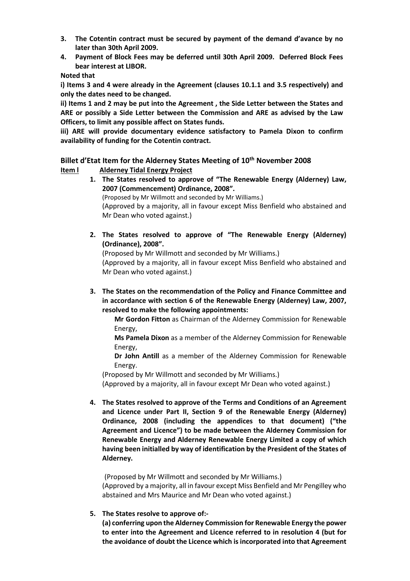- **3. The Cotentin contract must be secured by payment of the demand d'avance by no later than 30th April 2009.**
- **4. Payment of Block Fees may be deferred until 30th April 2009. Deferred Block Fees bear interest at LIBOR.**

#### **Noted that**

**i) Items 3 and 4 were already in the Agreement (clauses 10.1.1 and 3.5 respectively) and only the dates need to be changed.**

**ii) Items 1 and 2 may be put into the Agreement , the Side Letter between the States and ARE or possibly a Side Letter between the Commission and ARE as advised by the Law Officers, to limit any possible affect on States funds.**

**iii) ARE will provide documentary evidence satisfactory to Pamela Dixon to confirm availability of funding for the Cotentin contract.** 

## **Billet d'Etat Item for the Alderney States Meeting of 10th November 2008 Item l Alderney Tidal Energy Project**

**1. The States resolved to approve of "The Renewable Energy (Alderney) Law, 2007 (Commencement) Ordinance, 2008".**

(Proposed by Mr Willmott and seconded by Mr Williams.)

(Approved by a majority, all in favour except Miss Benfield who abstained and Mr Dean who voted against.)

**2. The States resolved to approve of "The Renewable Energy (Alderney) (Ordinance), 2008".**

(Proposed by Mr Willmott and seconded by Mr Williams.)

(Approved by a majority, all in favour except Miss Benfield who abstained and Mr Dean who voted against.)

**3. The States on the recommendation of the Policy and Finance Committee and in accordance with section 6 of the Renewable Energy (Alderney) Law, 2007, resolved to make the following appointments:**

**Mr Gordon Fitton** as Chairman of the Alderney Commission for Renewable Energy,

**Ms Pamela Dixon** as a member of the Alderney Commission for Renewable Energy,

**Dr John Antill** as a member of the Alderney Commission for Renewable Energy.

(Proposed by Mr Willmott and seconded by Mr Williams.)

(Approved by a majority, all in favour except Mr Dean who voted against.)

**4. The States resolved to approve of the Terms and Conditions of an Agreement and Licence under Part II, Section 9 of the Renewable Energy (Alderney) Ordinance, 2008 (including the appendices to that document) ("the Agreement and Licence") to be made between the Alderney Commission for Renewable Energy and Alderney Renewable Energy Limited a copy of which having been initialled by way of identification by the President of the States of Alderney.**

(Proposed by Mr Willmott and seconded by Mr Williams.) (Approved by a majority, all in favour except Miss Benfield and Mr Pengilley who abstained and Mrs Maurice and Mr Dean who voted against.)

**5. The States resolve to approve of:-**

**(a) conferring upon the Alderney Commission for Renewable Energy the power to enter into the Agreement and Licence referred to in resolution 4 (but for the avoidance of doubt the Licence which isincorporated into that Agreement**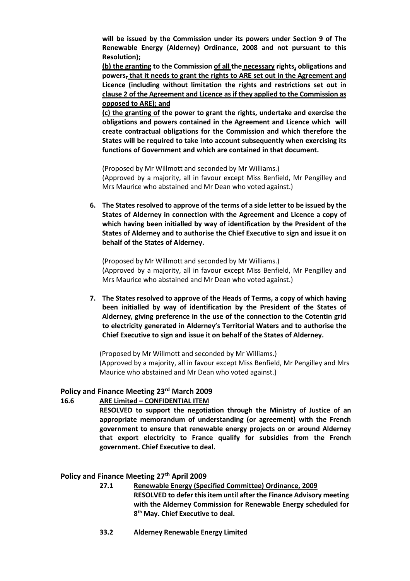**will be issued by the Commission under its powers under Section 9 of The Renewable Energy (Alderney) Ordinance, 2008 and not pursuant to this Resolution);**

**(b) the granting to the Commission of all the necessary rights, obligations and powers, that it needs to grant the rights to ARE set out in the Agreement and Licence (including without limitation the rights and restrictions set out in clause 2 of the Agreement and Licence as if they applied to the Commission as opposed to ARE); and**

**(c) the granting of the power to grant the rights, undertake and exercise the obligations and powers contained in the Agreement and Licence which will create contractual obligations for the Commission and which therefore the States will be required to take into account subsequently when exercising its functions of Government and which are contained in that document.**

(Proposed by Mr Willmott and seconded by Mr Williams.) (Approved by a majority, all in favour except Miss Benfield, Mr Pengilley and Mrs Maurice who abstained and Mr Dean who voted against.)

**6. The States resolved to approve of the terms of a side letter to be issued by the States of Alderney in connection with the Agreement and Licence a copy of which having been initialled by way of identification by the President of the States of Alderney and to authorise the Chief Executive to sign and issue it on behalf of the States of Alderney.**

(Proposed by Mr Willmott and seconded by Mr Williams.) (Approved by a majority, all in favour except Miss Benfield, Mr Pengilley and Mrs Maurice who abstained and Mr Dean who voted against.)

**7. The States resolved to approve of the Heads of Terms, a copy of which having been initialled by way of identification by the President of the States of Alderney, giving preference in the use of the connection to the Cotentin grid to electricity generated in Alderney's Territorial Waters and to authorise the Chief Executive to sign and issue it on behalf of the States of Alderney.**

(Proposed by Mr Willmott and seconded by Mr Williams.) (Approved by a majority, all in favour except Miss Benfield, Mr Pengilley and Mrs Maurice who abstained and Mr Dean who voted against.)

## **Policy and Finance Meeting 23rd March 2009**

#### **16.6 ARE Limited – CONFIDENTIAL ITEM**

**RESOLVED to support the negotiation through the Ministry of Justice of an appropriate memorandum of understanding (or agreement) with the French government to ensure that renewable energy projects on or around Alderney that export electricity to France qualify for subsidies from the French government. Chief Executive to deal.**

#### **Policy and Finance Meeting 27th April 2009**

- **27.1 Renewable Energy (Specified Committee) Ordinance, 2009 RESOLVED to defer this item until after the Finance Advisory meeting with the Alderney Commission for Renewable Energy scheduled for 8 th May. Chief Executive to deal.**
- **33.2 Alderney Renewable Energy Limited**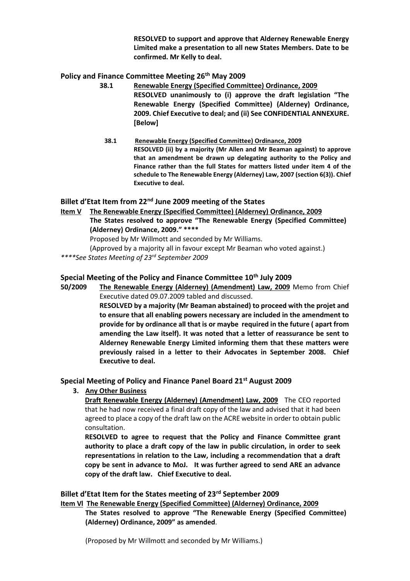**RESOLVED to support and approve that Alderney Renewable Energy Limited make a presentation to all new States Members. Date to be confirmed. Mr Kelly to deal.**

## **Policy and Finance Committee Meeting 26th May 2009**

- **38.1 Renewable Energy (Specified Committee) Ordinance, 2009 RESOLVED unanimously to (i) approve the draft legislation "The Renewable Energy (Specified Committee) (Alderney) Ordinance, 2009. Chief Executive to deal; and (ii) See CONFIDENTIAL ANNEXURE. [Below]**
	- **38.1 Renewable Energy (Specified Committee) Ordinance, 2009 RESOLVED (ii) by a majority (Mr Allen and Mr Beaman against) to approve that an amendment be drawn up delegating authority to the Policy and Finance rather than the full States for matters listed under item 4 of the schedule to The Renewable Energy (Alderney) Law, 2007 (section 6(3)). Chief Executive to deal.**

## **Billet d'Etat Item from 22nd June 2009 meeting of the States**

**Item V The Renewable Energy (Specified Committee) (Alderney) Ordinance, 2009 The States resolved to approve "The Renewable Energy (Specified Committee) (Alderney) Ordinance, 2009." \*\*\*\***

Proposed by Mr Willmott and seconded by Mr Williams.

(Approved by a majority all in favour except Mr Beaman who voted against.)

*\*\*\*\*See States Meeting of 23rd September 2009*

## **Special Meeting of the Policy and Finance Committee 10th July 2009**

**50/2009 The Renewable Energy (Alderney) (Amendment) Law, 2009** Memo from Chief Executive dated 09.07.2009 tabled and discussed.

**RESOLVED by a majority (Mr Beaman abstained) to proceed with the projet and to ensure that all enabling powers necessary are included in the amendment to provide for by ordinance all that is or maybe required in the future ( apart from amending the Law itself). It was noted that a letter of reassurance be sent to Alderney Renewable Energy Limited informing them that these matters were previously raised in a letter to their Advocates in September 2008. Chief Executive to deal.**

## **Special Meeting of Policy and Finance Panel Board 21st August 2009**

**3. Any Other Business**

**Draft Renewable Energy (Alderney) (Amendment) Law, 2009** The CEO reported that he had now received a final draft copy of the law and advised that it had been agreed to place a copy of the draft law on the ACRE website in order to obtain public consultation.

**RESOLVED to agree to request that the Policy and Finance Committee grant authority to place a draft copy of the law in public circulation, in order to seek representations in relation to the Law, including a recommendation that a draft copy be sent in advance to MoJ. It was further agreed to send ARE an advance copy of the draft law. Chief Executive to deal.**

#### **Billet d'Etat Item for the States meeting of 23rd September 2009**

**Item Vl The Renewable Energy (Specified Committee) (Alderney) Ordinance, 2009**

**The States resolved to approve "The Renewable Energy (Specified Committee) (Alderney) Ordinance, 2009" as amended**.

(Proposed by Mr Willmott and seconded by Mr Williams.)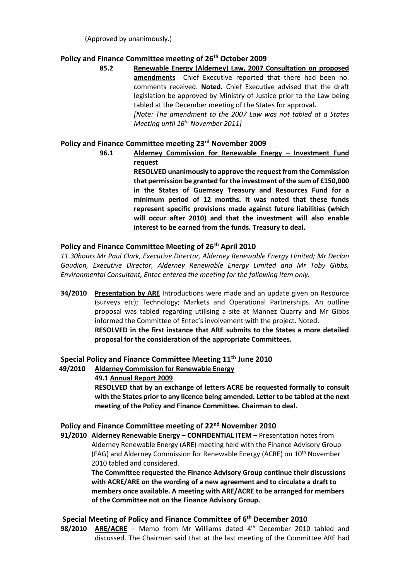## **Policy and Finance Committee meeting of 26th October 2009**

**85.2 Renewable Energy (Alderney) Law, 2007 Consultation on proposed amendments** Chief Executive reported that there had been no. comments received. **Noted.** Chief Executive advised that the draft legislation be approved by Ministry of Justice prior to the Law being tabled at the December meeting of the States for approval**.** *[Note: The amendment to the 2007 Law was not tabled at a States* 

**Policy and Finance Committee meeting 23rd November 2009**

*Meeting until 16th November 2011]*

**96.1 Alderney Commission for Renewable Energy – Investment Fund request**

> **RESOLVED unanimously to approve the request from the Commission that permission be granted for the investment of the sum of £150,000 in the States of Guernsey Treasury and Resources Fund for a minimum period of 12 months. It was noted that these funds represent specific provisions made against future liabilities (which will occur after 2010) and that the investment will also enable interest to be earned from the funds. Treasury to deal.**

## **Policy and Finance Committee Meeting of 26th April 2010**

*11.30hours Mr Paul Clark, Executive Director, Alderney Renewable Energy Limited; Mr Declan Gaudion, Executive Director, Alderney Renewable Energy Limited and Mr Toby Gibbs, Environmental Consultant, Entec entered the meeting for the following item only.*

**34/2010 Presentation by ARE** Introductions were made and an update given on Resource (surveys etc); Technology; Markets and Operational Partnerships. An outline proposal was tabled regarding utilising a site at Mannez Quarry and Mr Gibbs informed the Committee of Entec's involvement with the project. Noted. **RESOLVED in the first instance that ARE submits to the States a more detailed proposal for the consideration of the appropriate Committees.**

## **Special Policy and Finance Committee Meeting 11th June 2010**

 **49/2010 Alderney Commission for Renewable Energy 49.1 Annual Report 2009 RESOLVED that by an exchange of letters ACRE be requested formally to consult with the States prior to any licence being amended. Letter to be tabled at the next meeting of the Policy and Finance Committee. Chairman to deal.**

## **Policy and Finance Committee meeting of 22nd November 2010**

**91/2010 Alderney Renewable Energy – CONFIDENTIAL ITEM** – Presentation notes from Alderney Renewable Energy (ARE) meeting held with the Finance Advisory Group (FAG) and Alderney Commission for Renewable Energy (ACRE) on 10<sup>th</sup> November 2010 tabled and considered.

**The Committee requested the Finance Advisory Group continue their discussions with ACRE/ARE on the wording of a new agreement and to circulate a draft to members once available. A meeting with ARE/ACRE to be arranged for members of the Committee not on the Finance Advisory Group.**

## **Special Meeting of Policy and Finance Committee of 6 th December 2010**

**98/2010 ARE/ACRE** – Memo from Mr Williams dated 4 th December 2010 tabled and discussed. The Chairman said that at the last meeting of the Committee ARE had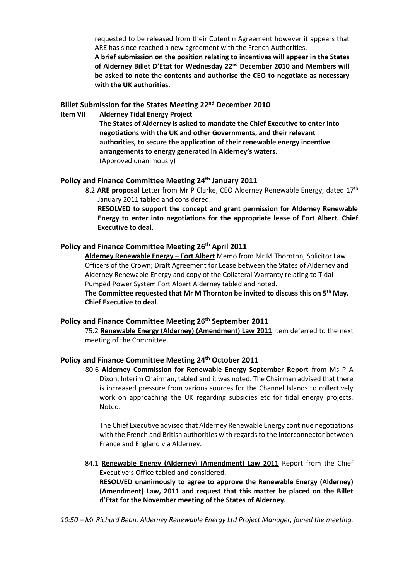requested to be released from their Cotentin Agreement however it appears that ARE has since reached a new agreement with the French Authorities.

**A brief submission on the position relating to incentives will appear in the States of Alderney Billet D'Etat for Wednesday 22nd December 2010 and Members will be asked to note the contents and authorise the CEO to negotiate as necessary with the UK authorities.**

#### **Billet Submission for the States Meeting 22nd December 2010**

**Item VII Alderney Tidal Energy Project**

**The States of Alderney is asked to mandate the Chief Executive to enter into negotiations with the UK and other Governments, and their relevant authorities, to secure the application of their renewable energy incentive arrangements to energy generated in Alderney's waters.** (Approved unanimously)

#### **Policy and Finance Committee Meeting 24th January 2011**

8.2 ARE proposal Letter from Mr P Clarke, CEO Alderney Renewable Energy, dated 17<sup>th</sup> January 2011 tabled and considered.

**RESOLVED to support the concept and grant permission for Alderney Renewable Energy to enter into negotiations for the appropriate lease of Fort Albert. Chief Executive to deal.**

## **Policy and Finance Committee Meeting 26th April 2011**

**Alderney Renewable Energy – Fort Albert** Memo from Mr M Thornton, Solicitor Law Officers of the Crown; Draft Agreement for Lease between the States of Alderney and Alderney Renewable Energy and copy of the Collateral Warranty relating to Tidal Pumped Power System Fort Albert Alderney tabled and noted.

**The Committee requested that Mr M Thornton be invited to discuss this on 5th May. Chief Executive to deal**.

#### **Policy and Finance Committee Meeting 26th September 2011**

75.2 **Renewable Energy (Alderney) (Amendment) Law 2011** Item deferred to the next meeting of the Committee.

#### **Policy and Finance Committee Meeting 24th October 2011**

80.6 **Alderney Commission for Renewable Energy September Report** from Ms P A Dixon, Interim Chairman, tabled and it was noted. The Chairman advised that there is increased pressure from various sources for the Channel Islands to collectively work on approaching the UK regarding subsidies etc for tidal energy projects. Noted.

The Chief Executive advised that Alderney Renewable Energy continue negotiations with the French and British authorities with regards to the interconnector between France and England via Alderney.

84.1 **Renewable Energy (Alderney) (Amendment) Law 2011** Report from the Chief Executive's Office tabled and considered. **RESOLVED unanimously to agree to approve the Renewable Energy (Alderney)** 

**(Amendment) Law, 2011 and request that this matter be placed on the Billet d'Etat for the November meeting of the States of Alderney.**

*10:50 – Mr Richard Bean, Alderney Renewable Energy Ltd Project Manager, joined the meeting.*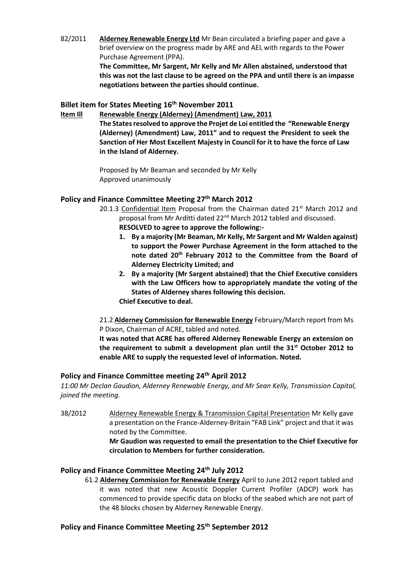82/2011 **Alderney Renewable Energy Ltd** Mr Bean circulated a briefing paper and gave a brief overview on the progress made by ARE and AEL with regards to the Power Purchase Agreement (PPA). **The Committee, Mr Sargent, Mr Kelly and Mr Allen abstained, understood that this was not the last clause to be agreed on the PPA and until there is an impasse negotiations between the parties should continue.** 

#### **Billet item for States Meeting 16th November 2011**

**Item Ill Renewable Energy (Alderney) (Amendment) Law, 2011 The Statesresolved to approve the Projet de Loi entitled the "Renewable Energy (Alderney) (Amendment) Law, 2011" and to request the President to seek the Sanction of Her Most Excellent Majesty in Council for it to have the force of Law in the Island of Alderney.**

> Proposed by Mr Beaman and seconded by Mr Kelly Approved unanimously

## **Policy and Finance Committee Meeting 27th March 2012**

- 20.1.3 Confidential Item Proposal from the Chairman dated  $21^{st}$  March 2012 and proposal from Mr Arditti dated 22nd March 2012 tabled and discussed. **RESOLVED to agree to approve the following:-**
	- **1. By a majority (Mr Beaman, Mr Kelly, Mr Sargent and Mr Walden against) to support the Power Purchase Agreement in the form attached to the note dated 20th February 2012 to the Committee from the Board of**
	- **Alderney Electricity Limited; and 2. By a majority (Mr Sargent abstained) that the Chief Executive considers with the Law Officers how to appropriately mandate the voting of the States of Alderney shares following this decision.**

**Chief Executive to deal.**

21.2 **Alderney Commission for Renewable Energy** February/March report from Ms P Dixon, Chairman of ACRE, tabled and noted.

**It was noted that ACRE has offered Alderney Renewable Energy an extension on the requirement to submit a development plan until the 31st October 2012 to enable ARE to supply the requested level of information. Noted.**

#### **Policy and Finance Committee meeting 24th April 2012**

*11:00 Mr Declan Gaudion, Alderney Renewable Energy, and Mr Sean Kelly, Transmission Capital, joined the meeting.*

38/2012 Alderney Renewable Energy & Transmission Capital Presentation Mr Kelly gave a presentation on the France-Alderney-Britain "FAB Link" project and that it was noted by the Committee.

**Mr Gaudion was requested to email the presentation to the Chief Executive for circulation to Members for further consideration.**

## **Policy and Finance Committee Meeting 24th July 2012**

61.2 **Alderney Commission for Renewable Energy** April to June 2012 report tabled and it was noted that new Acoustic Doppler Current Profiler (ADCP) work has commenced to provide specific data on blocks of the seabed which are not part of the 48 blocks chosen by Alderney Renewable Energy.

## **Policy and Finance Committee Meeting 25th September 2012**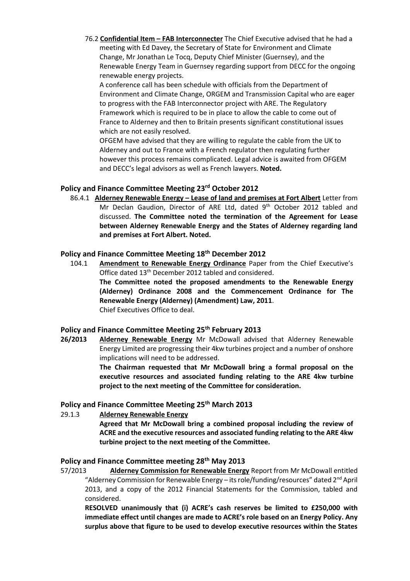76.2 **Confidential Item – FAB Interconnecter** The Chief Executive advised that he had a meeting with Ed Davey, the Secretary of State for Environment and Climate Change, Mr Jonathan Le Tocq, Deputy Chief Minister (Guernsey), and the Renewable Energy Team in Guernsey regarding support from DECC for the ongoing renewable energy projects.

A conference call has been schedule with officials from the Department of Environment and Climate Change, ORGEM and Transmission Capital who are eager to progress with the FAB Interconnector project with ARE. The Regulatory Framework which is required to be in place to allow the cable to come out of France to Alderney and then to Britain presents significant constitutional issues which are not easily resolved.

OFGEM have advised that they are willing to regulate the cable from the UK to Alderney and out to France with a French regulator then regulating further however this process remains complicated. Legal advice is awaited from OFGEM and DECC's legal advisors as well as French lawyers. **Noted.**

#### **Policy and Finance Committee Meeting 23rd October 2012**

86.4.1 **Alderney Renewable Energy – Lease of land and premises at Fort Albert** Letter from Mr Declan Gaudion, Director of ARE Ltd, dated 9<sup>th</sup> October 2012 tabled and discussed. **The Committee noted the termination of the Agreement for Lease between Alderney Renewable Energy and the States of Alderney regarding land and premises at Fort Albert. Noted.**

## **Policy and Finance Committee Meeting 18th December 2012**

104.1 **Amendment to Renewable Energy Ordinance** Paper from the Chief Executive's Office dated 13th December 2012 tabled and considered. **The Committee noted the proposed amendments to the Renewable Energy (Alderney) Ordinance 2008 and the Commencement Ordinance for The Renewable Energy (Alderney) (Amendment) Law, 2011**. Chief Executives Office to deal.

## **Policy and Finance Committee Meeting 25th February 2013**

**26/2013 Alderney Renewable Energy** Mr McDowall advised that Alderney Renewable Energy Limited are progressing their 4kw turbines project and a number of onshore implications will need to be addressed.

> **The Chairman requested that Mr McDowall bring a formal proposal on the executive resources and associated funding relating to the ARE 4kw turbine project to the next meeting of the Committee for consideration.**

## **Policy and Finance Committee Meeting 25th March 2013**

29.1.3 **Alderney Renewable Energy**

**Agreed that Mr McDowall bring a combined proposal including the review of ACRE and the executive resources and associated funding relating to the ARE 4kw turbine project to the next meeting of the Committee.**

## **Policy and Finance Committee meeting 28th May 2013**

57/2013 **Alderney Commission for Renewable Energy** Report from Mr McDowall entitled "Alderney Commission for Renewable Energy – its role/funding/resources" dated  $2<sup>nd</sup>$  April 2013, and a copy of the 2012 Financial Statements for the Commission, tabled and considered.

**RESOLVED unanimously that (i) ACRE's cash reserves be limited to £250,000 with immediate effect until changes are made to ACRE's role based on an Energy Policy. Any surplus above that figure to be used to develop executive resources within the States**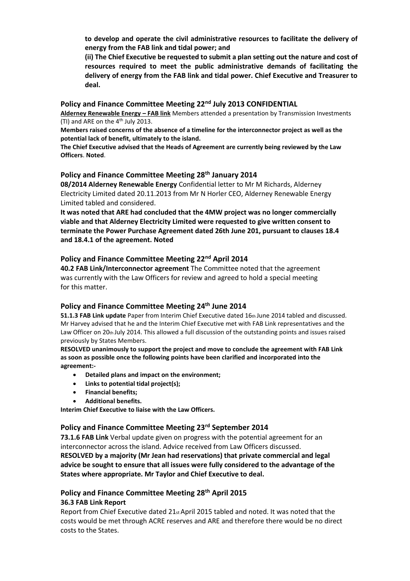**to develop and operate the civil administrative resources to facilitate the delivery of energy from the FAB link and tidal power; and**

**(ii) The Chief Executive be requested to submit a plan setting out the nature and cost of resources required to meet the public administrative demands of facilitating the delivery of energy from the FAB link and tidal power. Chief Executive and Treasurer to deal.**

#### **Policy and Finance Committee Meeting 22nd July 2013 CONFIDENTIAL**

**Alderney Renewable Energy – FAB link** Members attended a presentation by Transmission Investments (TI) and ARE on the  $4<sup>th</sup>$  July 2013.

**Members raised concerns of the absence of a timeline for the interconnector project as well as the potential lack of benefit, ultimately to the island.**

**The Chief Executive advised that the Heads of Agreement are currently being reviewed by the Law Officers**. **Noted**.

#### **Policy and Finance Committee Meeting 28th January 2014**

**08/2014 Alderney Renewable Energy** Confidential letter to Mr M Richards, Alderney Electricity Limited dated 20.11.2013 from Mr N Horler CEO, Alderney Renewable Energy Limited tabled and considered.

**It was noted that ARE had concluded that the 4MW project was no longer commercially viable and that Alderney Electricity Limited were requested to give written consent to terminate the Power Purchase Agreement dated 26th June 201, pursuant to clauses 18.4 and 18.4.1 of the agreement. Noted**

#### **Policy and Finance Committee Meeting 22nd April 2014**

**40.2 FAB Link/Interconnector agreement** The Committee noted that the agreement was currently with the Law Officers for review and agreed to hold a special meeting for this matter.

#### **Policy and Finance Committee Meeting 24th June 2014**

**51.1.3 FAB Link update** Paper from Interim Chief Executive dated 16th June 2014 tabled and discussed. Mr Harvey advised that he and the Interim Chief Executive met with FAB Link representatives and the Law Officer on 20th July 2014. This allowed a full discussion of the outstanding points and issues raised previously by States Members.

**RESOLVED unanimously to support the project and move to conclude the agreement with FAB Link as soon as possible once the following points have been clarified and incorporated into the agreement:-**

- **Detailed plans and impact on the environment;**
- **Links to potential tidal project(s);**
- **Financial benefits;**
- **Additional benefits.**

**Interim Chief Executive to liaise with the Law Officers.**

## **Policy and Finance Committee Meeting 23rd September 2014**

**73.1.6 FAB Link** Verbal update given on progress with the potential agreement for an interconnector across the island. Advice received from Law Officers discussed. **RESOLVED by a majority (Mr Jean had reservations) that private commercial and legal advice be sought to ensure that all issues were fully considered to the advantage of the States where appropriate. Mr Taylor and Chief Executive to deal.** 

#### **Policy and Finance Committee Meeting 28th April 2015 36.3 FAB Link Report**

Report from Chief Executive dated 21st April 2015 tabled and noted. It was noted that the costs would be met through ACRE reserves and ARE and therefore there would be no direct costs to the States.